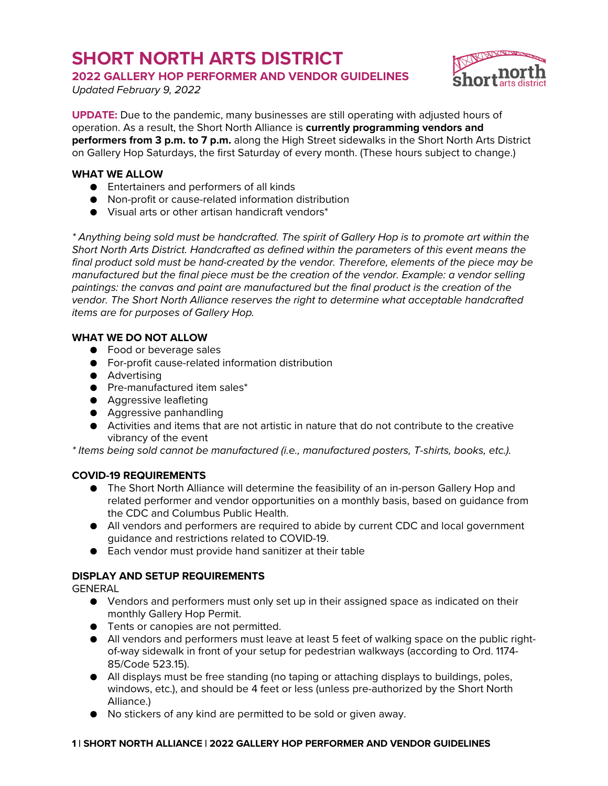# **SHORT NORTH ARTS DISTRICT**

**2022 GALLERY HOP PERFORMER AND VENDOR GUIDELINES**

*Updated February 9, 2022*



**UPDATE:** Due to the pandemic, many businesses are still operating with adjusted hours of operation. As a result, the Short North Alliance is **currently programming vendors and performers from 3 p.m. to 7 p.m.** along the High Street sidewalks in the Short North Arts District on Gallery Hop Saturdays, the first Saturday of every month. (These hours subject to change.)

## **WHAT WE ALLOW**

- Entertainers and performers of all kinds
- Non-profit or cause-related information distribution
- Visual arts or other artisan handicraft vendors\*

*\* Anything being sold must be handcrafted. The spirit of Gallery Hop is to promote art within the Short North Arts District. Handcrafted as defined within the parameters of this event means the final product sold must be hand-created by the vendor. Therefore, elements of the piece may be manufactured but the final piece must be the creation of the vendor. Example: a vendor selling paintings: the canvas and paint are manufactured but the final product is the creation of the vendor. The Short North Alliance reserves the right to determine what acceptable handcrafted items are for purposes of Gallery Hop.*

# **WHAT WE DO NOT ALLOW**

- Food or beverage sales
- For-profit cause-related information distribution
- Advertising
- Pre-manufactured item sales\*
- Aggressive leafleting
- Aggressive panhandling
- Activities and items that are not artistic in nature that do not contribute to the creative vibrancy of the event

*\* Items being sold cannot be manufactured (i.e., manufactured posters, T-shirts, books, etc.).*

## **COVID-19 REQUIREMENTS**

- The Short North Alliance will determine the feasibility of an in-person Gallery Hop and related performer and vendor opportunities on a monthly basis, based on guidance from the CDC and Columbus Public Health.
- All vendors and performers are required to abide by current CDC and local government guidance and restrictions related to COVID-19.
- Each vendor must provide hand sanitizer at their table

# **DISPLAY AND SETUP REQUIREMENTS**

GENERAL

- Vendors and performers must only set up in their assigned space as indicated on their monthly Gallery Hop Permit.
- **•** Tents or canopies are not permitted.
- All vendors and performers must leave at least 5 feet of walking space on the public rightof-way sidewalk in front of your setup for pedestrian walkways (according to Ord. 1174- 85/Code 523.15).
- All displays must be free standing (no taping or attaching displays to buildings, poles, windows, etc.), and should be 4 feet or less (unless pre-authorized by the Short North Alliance.)
- No stickers of any kind are permitted to be sold or given away.

## **1 | SHORT NORTH ALLIANCE | 2022 GALLERY HOP PERFORMER AND VENDOR GUIDELINES**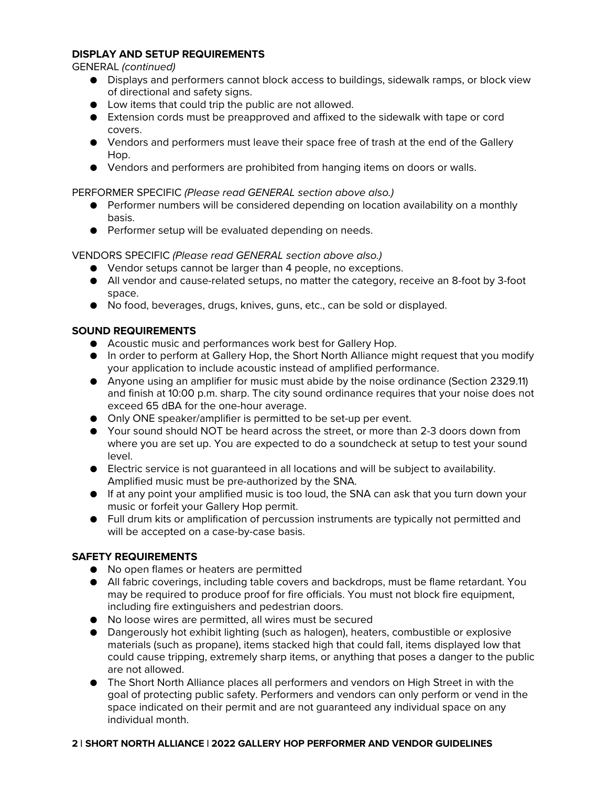## **DISPLAY AND SETUP REQUIREMENTS**

GENERAL *(continued)*

- Displays and performers cannot block access to buildings, sidewalk ramps, or block view of directional and safety signs.
- Low items that could trip the public are not allowed.
- Extension cords must be preapproved and affixed to the sidewalk with tape or cord covers.
- Vendors and performers must leave their space free of trash at the end of the Gallery Hop.
- Vendors and performers are prohibited from hanging items on doors or walls.

#### PERFORMER SPECIFIC *(Please read GENERAL section above also.)*

- Performer numbers will be considered depending on location availability on a monthly basis.
- Performer setup will be evaluated depending on needs.

VENDORS SPECIFIC *(Please read GENERAL section above also.)*

- Vendor setups cannot be larger than 4 people, no exceptions.
- All vendor and cause-related setups, no matter the category, receive an 8-foot by 3-foot space.
- No food, beverages, drugs, knives, guns, etc., can be sold or displayed.

## **SOUND REQUIREMENTS**

- Acoustic music and performances work best for Gallery Hop.
- In order to perform at Gallery Hop, the Short North Alliance might request that you modify your application to include acoustic instead of amplified performance.
- Anyone using an amplifier for music must abide by the noise ordinance (Section 2329.11) and finish at 10:00 p.m. sharp. The city sound ordinance requires that your noise does not exceed 65 dBA for the one-hour average.
- Only ONE speaker/amplifier is permitted to be set-up per event.
- Your sound should NOT be heard across the street, or more than 2-3 doors down from where you are set up. You are expected to do a soundcheck at setup to test your sound level.
- Electric service is not guaranteed in all locations and will be subject to availability. Amplified music must be pre-authorized by the SNA.
- If at any point your amplified music is too loud, the SNA can ask that you turn down your music or forfeit your Gallery Hop permit.
- Full drum kits or amplification of percussion instruments are typically not permitted and will be accepted on a case-by-case basis.

## **SAFETY REQUIREMENTS**

- No open flames or heaters are permitted
- All fabric coverings, including table covers and backdrops, must be flame retardant. You may be required to produce proof for fire officials. You must not block fire equipment, including fire extinguishers and pedestrian doors.
- No loose wires are permitted, all wires must be secured
- Dangerously hot exhibit lighting (such as halogen), heaters, combustible or explosive materials (such as propane), items stacked high that could fall, items displayed low that could cause tripping, extremely sharp items, or anything that poses a danger to the public are not allowed.
- The Short North Alliance places all performers and vendors on High Street in with the goal of protecting public safety. Performers and vendors can only perform or vend in the space indicated on their permit and are not guaranteed any individual space on any individual month.

#### **2 | SHORT NORTH ALLIANCE | 2022 GALLERY HOP PERFORMER AND VENDOR GUIDELINES**